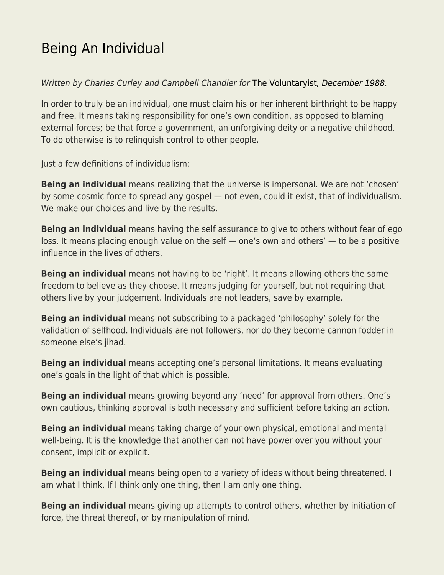## [Being An Individual](https://everything-voluntary.com/being-an-individual)

Written by Charles Curley and Campbell Chandler for [The Voluntaryist](http://voluntaryist.com/backissues/035.pdf)[, December 1988](http://voluntaryist.com/backissues/035.pdf).

In order to truly be an individual, one must claim his or her inherent birthright to be happy and free. It means taking responsibility for one's own condition, as opposed to blaming external forces; be that force a government, an unforgiving deity or a negative childhood. To do otherwise is to relinquish control to other people.

Just a few definitions of individualism:

**Being an individual** means realizing that the universe is impersonal. We are not 'chosen' by some cosmic force to spread any gospel — not even, could it exist, that of individualism. We make our choices and live by the results.

**Being an individual** means having the self assurance to give to others without fear of ego loss. It means placing enough value on the self — one's own and others' — to be a positive influence in the lives of others.

**Being an individual** means not having to be 'right'. It means allowing others the same freedom to believe as they choose. It means judging for yourself, but not requiring that others live by your judgement. Individuals are not leaders, save by example.

**Being an individual** means not subscribing to a packaged 'philosophy' solely for the validation of selfhood. Individuals are not followers, nor do they become cannon fodder in someone else's jihad.

**Being an individual** means accepting one's personal limitations. It means evaluating one's goals in the light of that which is possible.

**Being an individual** means growing beyond any 'need' for approval from others. One's own cautious, thinking approval is both necessary and sufficient before taking an action.

**Being an individual** means taking charge of your own physical, emotional and mental well-being. It is the knowledge that another can not have power over you without your consent, implicit or explicit.

**Being an individual** means being open to a variety of ideas without being threatened. I am what I think. If I think only one thing, then I am only one thing.

**Being an individual** means giving up attempts to control others, whether by initiation of force, the threat thereof, or by manipulation of mind.